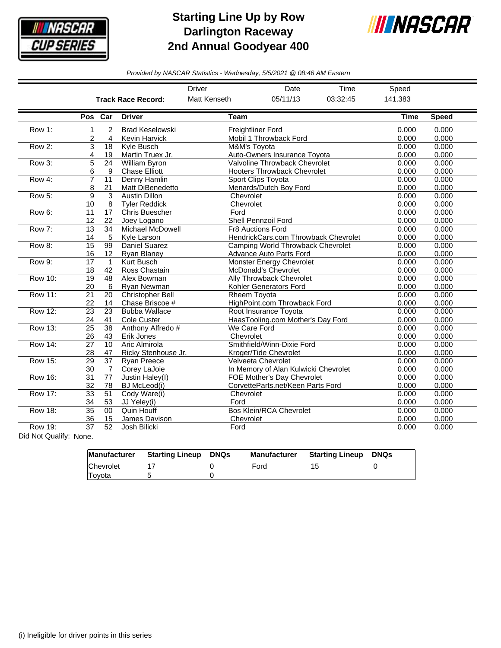

## **Starting Line Up by Row Darlington Raceway 2nd Annual Goodyear 400**



*Provided by NASCAR Statistics - Wednesday, 5/5/2021 @ 08:46 AM Eastern*

|                |                                                                                                     |                           |                           | <b>Driver</b>       | Date                                 | Time        | Speed        |       |
|----------------|-----------------------------------------------------------------------------------------------------|---------------------------|---------------------------|---------------------|--------------------------------------|-------------|--------------|-------|
|                |                                                                                                     |                           | <b>Track Race Record:</b> | <b>Matt Kenseth</b> | 05/11/13                             | 03:32:45    | 141.383      |       |
|                | Pos Car                                                                                             |                           | <b>Driver</b>             | <b>Team</b>         |                                      | <b>Time</b> | <b>Speed</b> |       |
| Row 1:         | 1                                                                                                   | $\overline{2}$            | <b>Brad Keselowski</b>    |                     | <b>Freightliner Ford</b>             |             | 0.000        | 0.000 |
|                | 2                                                                                                   | 4                         | <b>Kevin Harvick</b>      |                     | Mobil 1 Throwback Ford               | 0.000       | 0.000        |       |
| Row 2:         | $\overline{3}$                                                                                      | 18                        | Kyle Busch                |                     | M&M's Toyota                         |             | 0.000        | 0.000 |
|                | 4                                                                                                   | 19                        | Martin Truex Jr.          |                     | Auto-Owners Insurance Toyota         | 0.000       | 0.000        |       |
| Row 3:         | 5                                                                                                   | 24                        | <b>William Byron</b>      |                     | Valvoline Throwback Chevrolet        |             | 0.000        | 0.000 |
|                | 6                                                                                                   | 9                         | <b>Chase Elliott</b>      |                     | <b>Hooters Throwback Chevrolet</b>   | 0.000       | 0.000        |       |
| Row 4:         | $\overline{7}$                                                                                      | 11                        | Denny Hamlin              |                     | Sport Clips Toyota                   |             | 0.000        | 0.000 |
|                | 8                                                                                                   | 21                        | Matt DiBenedetto          |                     | Menards/Dutch Boy Ford               |             | 0.000        | 0.000 |
| Row 5:         | 9                                                                                                   | $\overline{\overline{3}}$ | <b>Austin Dillon</b>      | Chevrolet           |                                      |             | 0.000        | 0.000 |
|                | 10                                                                                                  | 8                         | <b>Tyler Reddick</b>      | Chevrolet           |                                      | 0.000       | 0.000        |       |
| Row 6:         | 11                                                                                                  | 17                        | Chris Buescher            | Ford                |                                      | 0.000       | 0.000        |       |
|                | 12                                                                                                  | 22                        | Joey Logano               |                     | Shell Pennzoil Ford                  | 0.000       | 0.000        |       |
| Row 7:         | 13                                                                                                  | 34                        | Michael McDowell          |                     | <b>Fr8 Auctions Ford</b>             | 0.000       | 0.000        |       |
|                | 14                                                                                                  | 5                         | Kyle Larson               |                     | HendrickCars.com Throwback Chevrolet | 0.000       | 0.000        |       |
| Row 8:         | $\overline{15}$                                                                                     | 99                        | Daniel Suarez             |                     | Camping World Throwback Chevrolet    | 0.000       | 0.000        |       |
|                | 16                                                                                                  | 12                        | Ryan Blaney               |                     | Advance Auto Parts Ford              | 0.000       | 0.000        |       |
| Row 9:         | 17                                                                                                  | $\mathbf{1}$              | <b>Kurt Busch</b>         |                     | <b>Monster Energy Chevrolet</b>      | 0.000       | 0.000        |       |
|                | 18                                                                                                  | 42                        | Ross Chastain             |                     | McDonald's Chevrolet                 | 0.000       | 0.000        |       |
| Row 10:        | 19                                                                                                  | 48                        | Alex Bowman               |                     | Ally Throwback Chevrolet             | 0.000       | 0.000        |       |
|                | 20                                                                                                  | 6                         | Ryan Newman               |                     | Kohler Generators Ford               |             | 0.000        | 0.000 |
| Row 11:        | 21                                                                                                  | 20                        | <b>Christopher Bell</b>   |                     | Rheem Toyota                         |             |              | 0.000 |
|                | 22                                                                                                  | 14                        | Chase Briscoe #           |                     | HighPoint.com Throwback Ford         | 0.000       | 0.000        |       |
| Row 12:        | 23                                                                                                  | 23                        | <b>Bubba Wallace</b>      |                     | Root Insurance Toyota                |             |              | 0.000 |
|                | 24                                                                                                  | 41                        | Cole Custer               |                     | HaasTooling.com Mother's Day Ford    |             | 0.000        | 0.000 |
| Row 13:        | 25                                                                                                  | 38                        | Anthony Alfredo #         |                     | We Care Ford                         |             | 0.000        | 0.000 |
|                | 26                                                                                                  | 43                        | Erik Jones                | Chevrolet           |                                      |             | 0.000        | 0.000 |
| <b>Row 14:</b> | $\overline{27}$                                                                                     | 10                        | Aric Almirola             |                     | Smithfield/Winn-Dixie Ford           |             | 0.000        | 0.000 |
|                | 28                                                                                                  | 47                        | Ricky Stenhouse Jr.       |                     | Kroger/Tide Chevrolet                |             | 0.000        | 0.000 |
| <b>Row 15:</b> | 29                                                                                                  | 37                        | <b>Ryan Preece</b>        |                     | Velveeta Chevrolet                   |             | 0.000        | 0.000 |
|                | 30                                                                                                  | 7                         | Corey LaJoie              |                     | In Memory of Alan Kulwicki Chevrolet |             | 0.000        | 0.000 |
| <b>Row 16:</b> | 31                                                                                                  | $\overline{77}$           | Justin Haley(I)           |                     | FOE Mother's Day Chevrolet           |             | 0.000        | 0.000 |
|                | 32                                                                                                  | 78                        | BJ McLeod(i)              |                     | CorvetteParts.net/Keen Parts Ford    | 0.000       | 0.000        |       |
| <b>Row 17:</b> | $\overline{33}$                                                                                     | 51                        | Cody Ware(i)              | Chevrolet           |                                      | 0.000       | 0.000        |       |
|                | 34                                                                                                  | 53                        | JJ Yeley(i)               | Ford                |                                      |             | 0.000        | 0.000 |
| <b>Row 18:</b> | $\overline{35}$                                                                                     | 00                        | <b>Quin Houff</b>         |                     | <b>Bos Klein/RCA Chevrolet</b>       |             | 0.000        | 0.000 |
|                | 36                                                                                                  | 15                        | James Davison             | Chevrolet           |                                      |             | 0.000        | 0.000 |
| <b>Row 19:</b> | 37<br>52<br>Josh Bilicki<br>Ford<br>$\mathbf{D}$ and $\mathbf{D}$ and $\mathbf{D}$ and $\mathbf{D}$ |                           |                           |                     |                                      |             | 0.000        | 0.000 |

Did Not Qualify: None.

|               | Manufacturer Starting Lineup | DNQs | <b>Manufacturer</b> | <b>Starting Lineup</b> | DNQs |
|---------------|------------------------------|------|---------------------|------------------------|------|
| Chevrolet     |                              |      | Ford                | 15.                    |      |
| <b>Toyota</b> |                              |      |                     |                        |      |